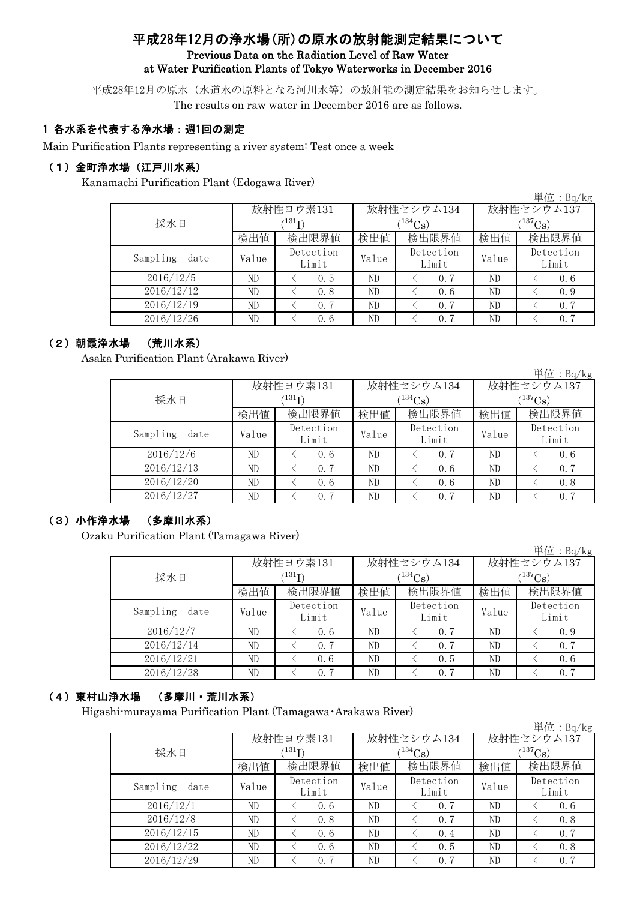## 平成28年12月の浄水場(所)の原水の放射能測定結果について Previous Data on the Radiation Level of Raw Water at Water Purification Plants of Tokyo Waterworks in December 2016

平成28年12月の原水(水道水の原料となる河川水等)の放射能の測定結果をお知らせします。 The results on raw water in December 2016 are as follows.

### 1 各水系を代表する浄水場:週1回の測定

Main Purification Plants representing a river system: Test once a week

## (1)金町浄水場(江戸川水系)

Kanamachi Purification Plant (Edogawa River)

|                  |       |                    |       |                    |                       | 単位:Bq/kg           |  |
|------------------|-------|--------------------|-------|--------------------|-----------------------|--------------------|--|
|                  |       | 放射性ヨウ素131          |       | 放射性セシウム134         | 放射性セシウム137            |                    |  |
| 採水日              |       | $^{131}$ I)        |       | $(134)$ Cs         | $(^{137}\mathrm{Cs})$ |                    |  |
|                  | 検出値   | 検出限界値              | 検出値   | 検出限界値              | 検出値                   | 検出限界値              |  |
| Sampling<br>date | Value | Detection<br>Limit | Value | Detection<br>Limit | Value                 | Detection<br>Limit |  |
| 2016/12/5        | ND    | 0.5                | ND    | 0.7                | ND                    | 0.6                |  |
| 2016/12/12       | ND    | 0.8                | ND    | 0.6                | ND                    | 0.9                |  |
| 2016/12/19       | ND    | 0.7                | ND    | 0.7                | ND                    | 0.7                |  |
| 2016/12/26       | ND    | 0.6                | ND    | 0.7                | ND                    | 0.7                |  |

#### (2)朝霞浄水場 (荒川水系)

Asaka Purification Plant (Arakawa River)

|                  |       |                    |       |                    |               | 単位:Bq/kg           |  |
|------------------|-------|--------------------|-------|--------------------|---------------|--------------------|--|
|                  |       | 放射性ヨウ素131          |       | 放射性セシウム134         | 放射性セシウム137    |                    |  |
| 採水日              |       | $^{131}$ I)        |       | $134C_8$           | $1^{137}$ Cs) |                    |  |
|                  | 検出値   | 検出限界値              | 検出値   | 検出限界値              | 検出値           | 検出限界値              |  |
| Sampling<br>date | Value | Detection<br>Limit | Value | Detection<br>Limit | Value         | Detection<br>Limit |  |
| 2016/12/6        | ND    | 0.6                | ND    | 0.7                | ND            | 0.6                |  |
| 2016/12/13       | ND    | 0.7                | ND    | 0.6                | ND            | 0.7                |  |
| 2016/12/20       | ND    | 0.6                | ND    | 0.6                | ND            | 0.8                |  |
| 2016/12/27       | ND    | 0.7                | ND    | 0.7                | ND            | 0.7                |  |

### (3)小作浄水場 (多摩川水系)

Ozaku Purification Plant (Tamagawa River)

|            |                                               |                    |       |                    |                       | 単位: $Bq/kg$        |  |
|------------|-----------------------------------------------|--------------------|-------|--------------------|-----------------------|--------------------|--|
|            |                                               |                    |       | 放射性セシウム134         | 放射性セシウム137            |                    |  |
| 採水日        |                                               | (131)              |       | $(134)$ Cs)        | $(^{137}\mathrm{Cs})$ |                    |  |
|            | 放射性ヨウ素131<br>検出値<br>date<br>Value<br>ND<br>ND | 検出限界値              | 検出値   | 検出限界値              | 検出値                   | 検出限界値              |  |
| Sampling   |                                               | Detection<br>Limit | Value | Detection<br>Limit | Value                 | Detection<br>Limit |  |
| 2016/12/7  |                                               | 0.6                | ND    | 0.7                | ND                    | 0.9                |  |
| 2016/12/14 |                                               | 0.7                | ND    | 0.7                | ND                    | 0.7                |  |
| 2016/12/21 | ND                                            | 0.6                | ND    | 0.5                | ND                    | 0.6                |  |
| 2016/12/28 | ND                                            | 0.7                | ND    | 0.7                | ND                    | 0.7                |  |

## (4)東村山浄水場 (多摩川・荒川水系)

Higashi-murayama Purification Plant (Tamagawa・Arakawa River)

|                  |       |                    |       |                    |             | 単位: $Bq/kg$        |  |
|------------------|-------|--------------------|-------|--------------------|-------------|--------------------|--|
|                  |       | 放射性ヨウ素131          |       | 放射性セシウム134         | 放射性セシウム137  |                    |  |
| 採水日              | (131) |                    |       | $(134)$ Cs)        | $(137)$ Cs) |                    |  |
|                  | 検出値   | 検出限界値              | 検出値   | 検出限界値              | 検出値         | 検出限界値              |  |
| Sampling<br>date | Value | Detection<br>Limit | Value | Detection<br>Limit | Value       | Detection<br>Limit |  |
| 2016/12/1        | ND    | 0.6                | ND    | 0.7                | ND          | 0, 6               |  |
| 2016/12/8        | ND    | 0.8                | ND    | 0.7                | ND          | 0.8                |  |
| 2016/12/15       | ND    | 0.6                | ND    | 0.4                | ND          | 0.7                |  |
| 2016/12/22       | ND    | 0.6                | ND    | 0.5                | ND          | 0.8                |  |
| 2016/12/29       | ND    | 0.7                | ND    | 0.7                | ND          | 0.7                |  |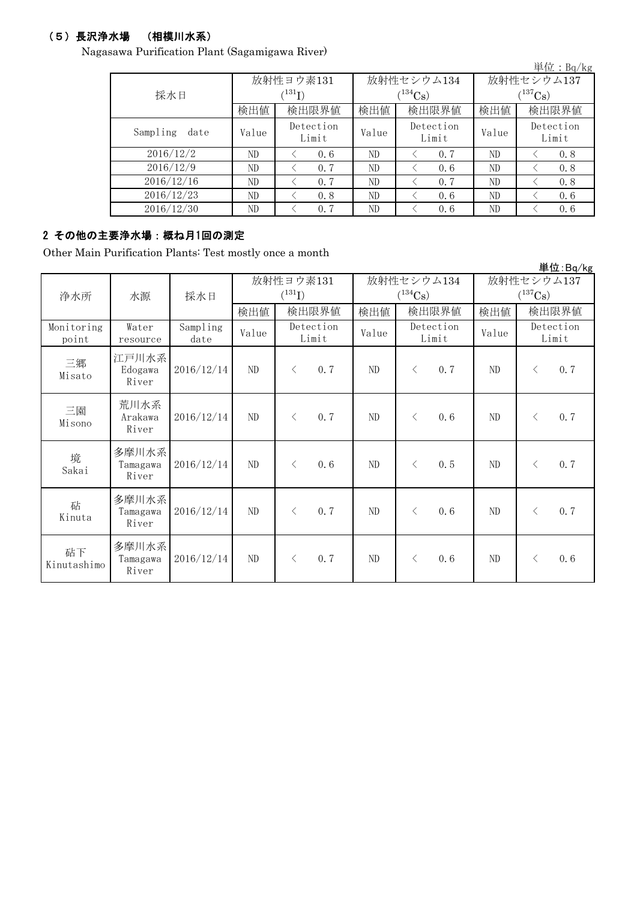## (5)長沢浄水場 (相模川水系)

Nagasawa Purification Plant (Sagamigawa River)

|                  |       |                    |       |                    |              | 単位: $Bq/kg$        |  |
|------------------|-------|--------------------|-------|--------------------|--------------|--------------------|--|
|                  |       | 放射性ヨウ素131          |       | 放射性セシウム134         | 放射性セシウム137   |                    |  |
| 採水日              |       | (131)              |       | $(^{134}Cs)$       | $(^{137}Cs)$ |                    |  |
|                  | 検出値   | 検出限界値              | 検出値   | 検出限界値              | 検出値          | 検出限界値              |  |
| Sampling<br>date | Value | Detection<br>Limit | Value | Detection<br>Limit | Value        | Detection<br>Limit |  |
| 2016/12/2        | ND    | 0.6                | ND    | 0.7                | ND           | 0.8                |  |
| 2016/12/9        | ND    | 0.7                | ND    | 0.6                | ND           | 0.8                |  |
| 2016/12/16       | ND    | 0.7                | ND    | 0.7                | ND           | 0.8                |  |
| 2016/12/23       | ND    | 0.8                | ND    | 0.6                | ND           | 0.6                |  |
| 2016/12/30       | ND    | 0.7                | ND    | 0.6                | ND           | 0.6                |  |

# 2 その他の主要浄水場:概ね月1回の測定

Other Main Purification Plants: Test mostly once a month

|                     |                            |                  |                          |                    |       |          |                       |                    |                                     |           | 単位:Bq/kg           |
|---------------------|----------------------------|------------------|--------------------------|--------------------|-------|----------|-----------------------|--------------------|-------------------------------------|-----------|--------------------|
| 浄水所                 | 採水日<br>水源                  |                  | 放射性ヨウ素131<br>$(^{131}I)$ |                    |       |          | $(^{134}\mathrm{Cs})$ | 放射性セシウム134         | 放射性セシウム137<br>$(^{137}\mathrm{Cs})$ |           |                    |
|                     |                            |                  | 検出値                      |                    | 検出限界値 | 検出値      | 検出限界値                 |                    | 検出値                                 |           | 検出限界値              |
| Monitoring<br>point | Water<br>resource          | Sampling<br>date | Value                    | Detection<br>Limit |       | Value    |                       | Detection<br>Limit |                                     |           | Detection<br>Limit |
| 三郷<br>Misato        | 江戸川水系<br>Edogawa<br>River  | 2016/12/14       | $\rm ND$                 | $\lt$              | 0.7   | $\rm ND$ | $\langle$             | 0.7                | $\rm ND$                            | $\langle$ | 0.7                |
| 三園<br>Misono        | 荒川水系<br>Arakawa<br>River   | 2016/12/14       | $\rm ND$                 | $\lt$              | 0.7   | ND       | $\langle$             | 0.6                | $\rm ND$                            | $\lt$     | 0.7                |
| 境<br>Sakai          | 多摩川水系<br>Tamagawa<br>River | 2016/12/14       | ND                       | $\langle$          | 0.6   | ND       | $\langle$             | 0.5                | ND                                  | $\langle$ | 0.7                |
| 砧<br>Kinuta         | 多摩川水系<br>Tamagawa<br>River | 2016/12/14       | ND                       | $\langle$          | 0.7   | ND       | $\langle$             | 0.6                | ND                                  | $\lt$     | 0.7                |
| 砧下<br>Kinutashimo   | 多摩川水系<br>Tamagawa<br>River | 2016/12/14       | $\rm ND$                 | $\langle$          | 0.7   | ND       | $\lt$                 | 0.6                | ND                                  | $\lt$     | 0.6                |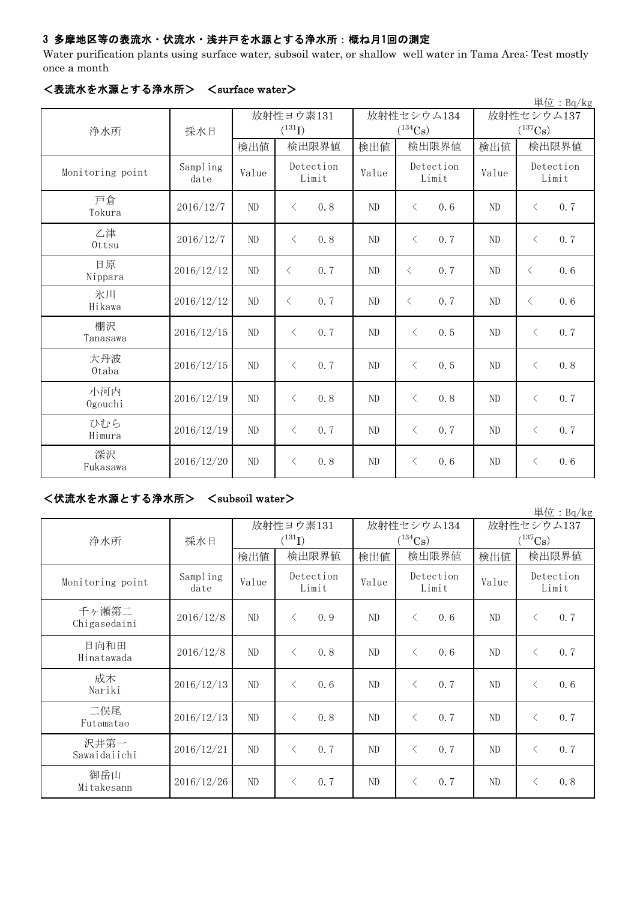## 3 多摩地区等の表流水・伏流水・浅井戸を水源とする浄水所:概ね月1回の測定

Water purification plants using surface water, subsoil water, or shallow well water in Tama Area: Test mostly once a month

|                  |                  |       |                    |                |                    |                       | 単位: $Bq/kg$        |  |  |
|------------------|------------------|-------|--------------------|----------------|--------------------|-----------------------|--------------------|--|--|
|                  |                  |       | 放射性ヨウ素131          |                | 放射性セシウム134         |                       | 放射性セシウム137         |  |  |
| 浄水所              | 採水日              |       | $(^{131}I)$        |                | $(^{134}Cs)$       | $(^{137}\mathrm{Cs})$ |                    |  |  |
|                  |                  | 検出値   | 検出限界値              | 検出値            | 検出限界値              |                       | 検出限界値              |  |  |
| Monitoring point | Sampling<br>date | Value | Detection<br>Limit | Value          | Detection<br>Limit | Value                 | Detection<br>Limit |  |  |
| 戸倉<br>Tokura     | 2016/12/7        | ND    | 0.8<br>$\langle$   | ND             | 0, 6<br>$\langle$  | ND                    | 0.7<br>$\lt$       |  |  |
| 乙津<br>Ottsu      | 2016/12/7        | ND    | 0.8<br>$\langle$   | N <sub>D</sub> | 0.7<br>$\langle$   | ND                    | 0.7<br>$\langle$   |  |  |
| 日原<br>Nippara    | 2016/12/12       | ND    | 0.7<br>$\langle$   | $\rm ND$       | 0.7<br>$\langle$   | ND                    | 0.6<br>$\langle$   |  |  |
| 氷川<br>Hikawa     | 2016/12/12       | ND    | 0.7<br>$\langle$   | ND             | 0.7<br>$\langle$   | ND                    | 0.6<br>$\lt$       |  |  |
| 棚沢<br>Tanasawa   | 2016/12/15       | ND    | 0.7<br>$\langle$   | ND             | $\langle$<br>0, 5  | N <sub>D</sub>        | 0.7<br>$\langle$   |  |  |
| 大丹波<br>0taba     | 2016/12/15       | ND    | 0.7<br>$\langle$   | ND             | $\langle$<br>0.5   | ND                    | 0.8<br>$\lt$       |  |  |
| 小河内<br>Ogouchi   | 2016/12/19       | ND    | 0.8<br>$\langle$   | ND             | 0.8<br>$\langle$   | ND                    | 0.7<br>$\lt$       |  |  |
| ひむら<br>Himura    | 2016/12/19       | ND    | 0.7<br>$\langle$   | ND             | 0.7<br>$\langle$   | $\rm ND$              | 0.7<br>$\lt$       |  |  |
| 深沢<br>Fukasawa   | 2016/12/20       | ND    | 0.8<br>$\langle$   | ND             | $\lt$<br>0.6       | ND                    | 0.6<br>$\langle$   |  |  |

### <表流水を水源とする浄水所> <surface water>

# <伏流水を水源とする浄水所> <subsoil water>

|                       |                  |                          |                              |     |                            |           |                             |                                     |           | 単位: Bg/kg          |  |
|-----------------------|------------------|--------------------------|------------------------------|-----|----------------------------|-----------|-----------------------------|-------------------------------------|-----------|--------------------|--|
|                       | 採水日              | 放射性ヨウ素131<br>$(^{131}I)$ |                              |     | 放射性セシウム134<br>$(^{134}Cs)$ |           |                             | 放射性セシウム137<br>$(^{137}\mathrm{Cs})$ |           |                    |  |
| 浄水所                   |                  | 検出値                      | 検出限界値                        |     | 検出限界値<br>検出値               |           | 検出値                         | 検出限界値                               |           |                    |  |
| Monitoring point      | Sampling<br>date | Value                    | Detection<br>Limit           |     |                            |           | Detection<br>Value<br>Limit |                                     | Value     | Detection<br>Limit |  |
| 千ヶ瀬第二<br>Chigasedaini | 2016/12/8        | ND                       | $\left\langle \right\rangle$ | 0.9 | ND                         | $\langle$ | 0.6                         | ND                                  | $\lt$     | 0.7                |  |
| 日向和田<br>Hinatawada    | 2016/12/8        | ND                       | $\langle$                    | 0.8 | ND                         | $\langle$ | 0.6                         | ND                                  | $\langle$ | 0.7                |  |
| 成木<br>Nariki          | 2016/12/13       | ND                       | $\langle$                    | 0.6 | ND                         | $\langle$ | 0, 7                        | ND                                  | $\lt$     | 0.6                |  |
| 二俣尾<br>Futamatao      | 2016/12/13       | ND                       | $\langle$                    | 0.8 | ND                         | $\langle$ | 0.7                         | ND                                  | $\langle$ | 0.7                |  |
| 沢井第一<br>Sawaidaiichi  | 2016/12/21       | N <sub>D</sub>           | $\left\langle \right\rangle$ | 0.7 | ND                         | $\langle$ | 0.7                         | N <sub>D</sub>                      | $\lt$     | 0.7                |  |
| 御岳山<br>Mitakesann     | 2016/12/26       | ND                       | $\langle$                    | 0.7 | ND                         | $\langle$ | 0.7                         | ND                                  | $\langle$ | 0.8                |  |